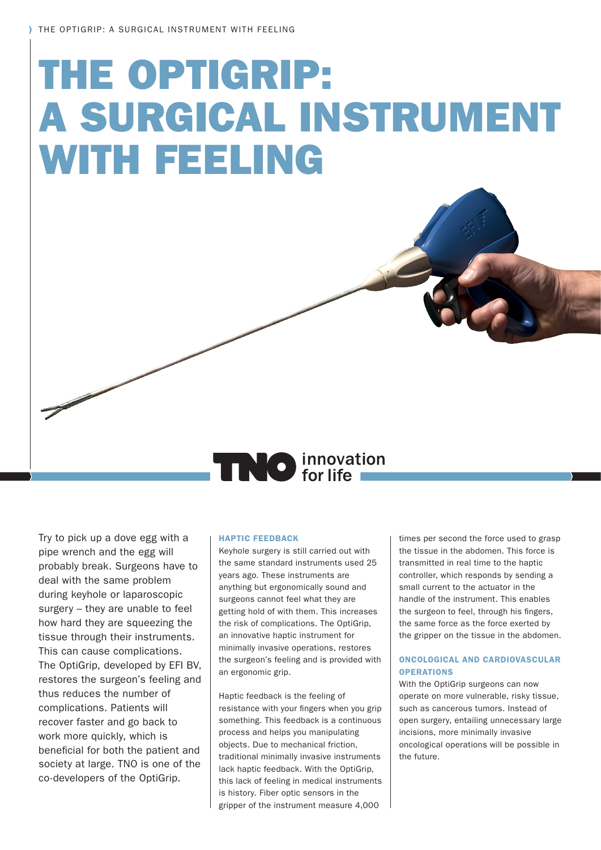# THE OPTIGRIP: A SURGICAL INSTRUMENT WITH FEELING

## **TRO** innovation

Try to pick up a dove egg with a pipe wrench and the egg will probably break. Surgeons have to deal with the same problem during keyhole or laparoscopic surgery – they are unable to feel how hard they are squeezing the tissue through their instruments. This can cause complications. The OptiGrip, developed by EFI BV, restores the surgeon's feeling and thus reduces the number of complications. Patients will recover faster and go back to work more quickly, which is beneficial for both the patient and society at large. TNO is one of the co-developers of the OptiGrip.

#### HAPTIC FEEDBACK

Keyhole surgery is still carried out with the same standard instruments used 25 years ago. These instruments are anything but ergonomically sound and surgeons cannot feel what they are getting hold of with them. This increases the risk of complications. The OptiGrip, an innovative haptic instrument for minimally invasive operations, restores the surgeon's feeling and is provided with an ergonomic grip.

Haptic feedback is the feeling of resistance with your fingers when you grip something. This feedback is a continuous process and helps you manipulating objects. Due to mechanical friction, traditional minimally invasive instruments lack haptic feedback. With the OptiGrip, this lack of feeling in medical instruments is history. Fiber optic sensors in the gripper of the instrument measure 4,000

times per second the force used to grasp the tissue in the abdomen. This force is transmitted in real time to the haptic controller, which responds by sending a small current to the actuator in the handle of the instrument. This enables the surgeon to feel, through his fingers, the same force as the force exerted by the gripper on the tissue in the abdomen.

#### ONCOLOGICAL AND CARDIOVASCULAR **OPERATIONS**

With the OptiGrip surgeons can now operate on more vulnerable, risky tissue, such as cancerous tumors. Instead of open surgery, entailing unnecessary large incisions, more minimally invasive oncological operations will be possible in the future.